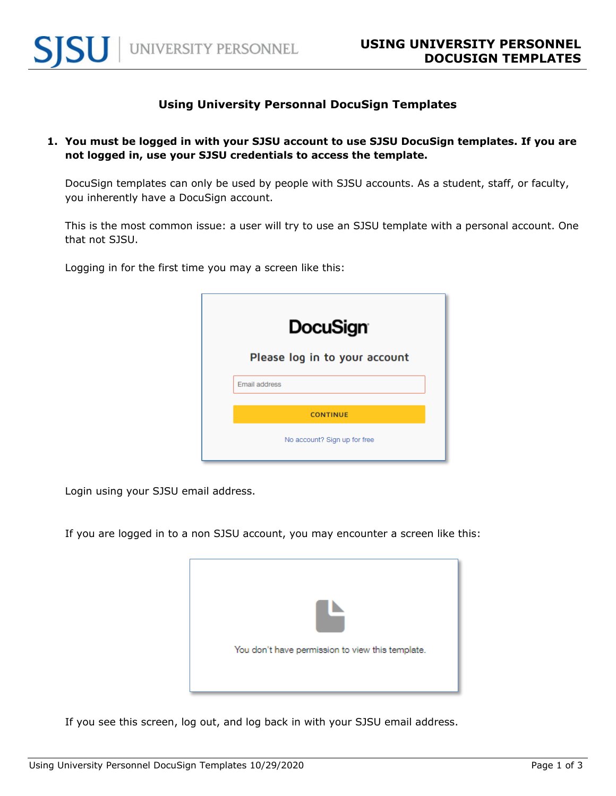

## **Using University Personnal DocuSign Templates**

**1. You must be logged in with your SJSU account to use SJSU DocuSign templates. If you are not logged in, use your SJSU credentials to access the template.** 

DocuSign templates can only be used by people with SJSU accounts. As a student, staff, or faculty, you inherently have a DocuSign account.

This is the most common issue: a user will try to use an SJSU template with a personal account. One that not SJSU.

Logging in for the first time you may a screen like this:

| <b>DocuSign</b>               |
|-------------------------------|
| Please log in to your account |
| Email address                 |
| <b>CONTINUE</b>               |
| No account? Sign up for free  |

Login using your SJSU email address.

If you are logged in to a non SJSU account, you may encounter a screen like this:



If you see this screen, log out, and log back in with your SJSU email address.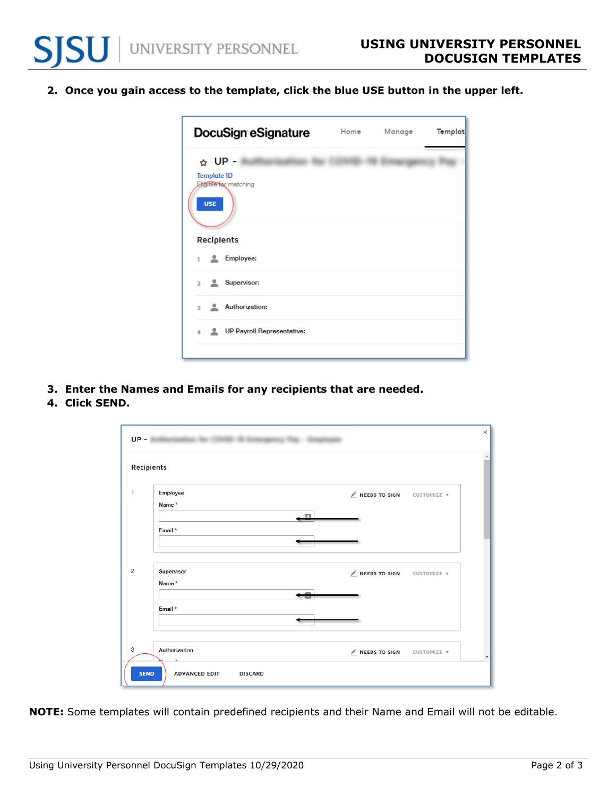**2. Once you gain access to the template, click the blue USE button in the upper left.** 



- **3. Enter the Names and Emails for any recipients that are needed.**
- **4. Click SEND.**

|                | Recipients    |               |                    |
|----------------|---------------|---------------|--------------------|
|                | Employee      | NEEDS TO SIGN | CUSTOMIZE v        |
|                | Name*         |               |                    |
|                | a             |               |                    |
|                | Email *       |               |                    |
|                |               |               |                    |
|                |               |               |                    |
| $\overline{2}$ | Supervisor    | NEEDS TO SIGN | <b>CUSTOMIZE V</b> |
|                | Name*         |               |                    |
|                |               |               |                    |
|                | Email *       |               |                    |
|                |               |               |                    |
|                |               |               |                    |
|                | Authorization | NEEDS TO SIGN | CUSTOMIZE v        |

**NOTE:** Some templates will contain predefined recipients and their Name and Email will not be editable.